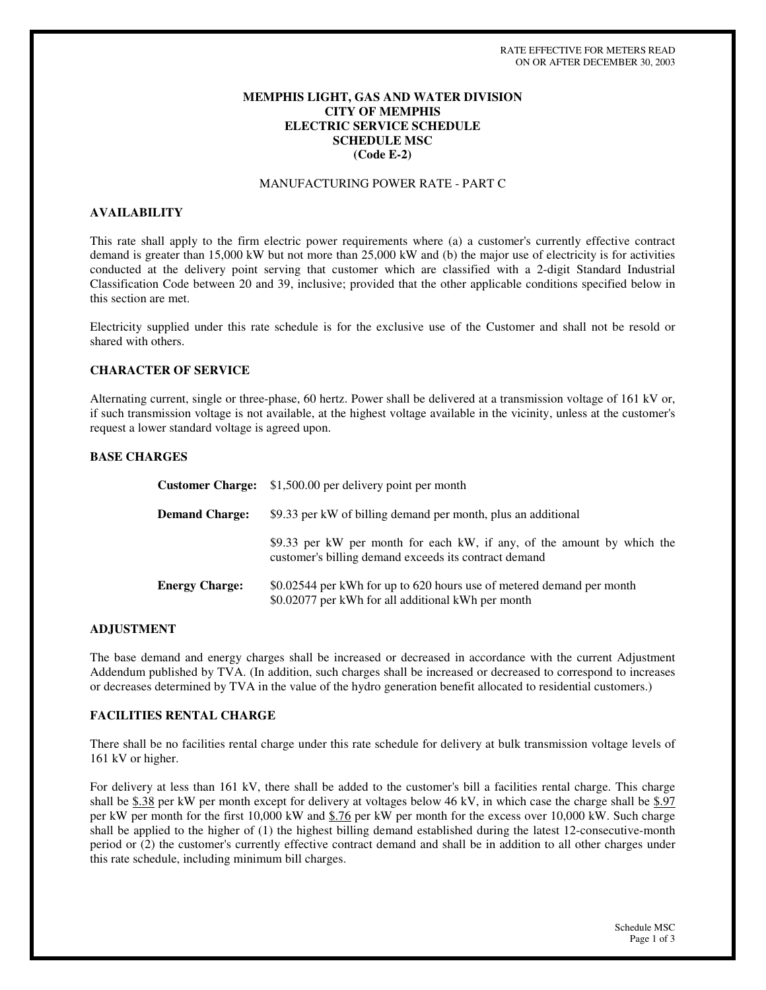# **MEMPHIS LIGHT, GAS AND WATER DIVISION CITY OF MEMPHIS ELECTRIC SERVICE SCHEDULE SCHEDULE MSC (Code E-2)**

### MANUFACTURING POWER RATE - PART C

### **AVAILABILITY**

This rate shall apply to the firm electric power requirements where (a) a customer's currently effective contract demand is greater than 15,000 kW but not more than 25,000 kW and (b) the major use of electricity is for activities conducted at the delivery point serving that customer which are classified with a 2-digit Standard Industrial Classification Code between 20 and 39, inclusive; provided that the other applicable conditions specified below in this section are met.

Electricity supplied under this rate schedule is for the exclusive use of the Customer and shall not be resold or shared with others.

# **CHARACTER OF SERVICE**

Alternating current, single or three-phase, 60 hertz. Power shall be delivered at a transmission voltage of 161 kV or, if such transmission voltage is not available, at the highest voltage available in the vicinity, unless at the customer's request a lower standard voltage is agreed upon.

# **BASE CHARGES**

|                       | <b>Customer Charge:</b> \$1,500.00 per delivery point per month                                                                  |
|-----------------------|----------------------------------------------------------------------------------------------------------------------------------|
| <b>Demand Charge:</b> | \$9.33 per kW of billing demand per month, plus an additional                                                                    |
|                       | \$9.33 per kW per month for each kW, if any, of the amount by which the<br>customer's billing demand exceeds its contract demand |
| <b>Energy Charge:</b> | \$0.02544 per kWh for up to 620 hours use of metered demand per month<br>\$0.02077 per kWh for all additional kWh per month      |

#### **ADJUSTMENT**

The base demand and energy charges shall be increased or decreased in accordance with the current Adjustment Addendum published by TVA. (In addition, such charges shall be increased or decreased to correspond to increases or decreases determined by TVA in the value of the hydro generation benefit allocated to residential customers.)

### **FACILITIES RENTAL CHARGE**

There shall be no facilities rental charge under this rate schedule for delivery at bulk transmission voltage levels of 161 kV or higher.

For delivery at less than 161 kV, there shall be added to the customer's bill a facilities rental charge. This charge shall be \$.38 per kW per month except for delivery at voltages below 46 kV, in which case the charge shall be \$.97 per kW per month for the first 10,000 kW and \$.76 per kW per month for the excess over 10,000 kW. Such charge shall be applied to the higher of (1) the highest billing demand established during the latest 12-consecutive-month period or (2) the customer's currently effective contract demand and shall be in addition to all other charges under this rate schedule, including minimum bill charges.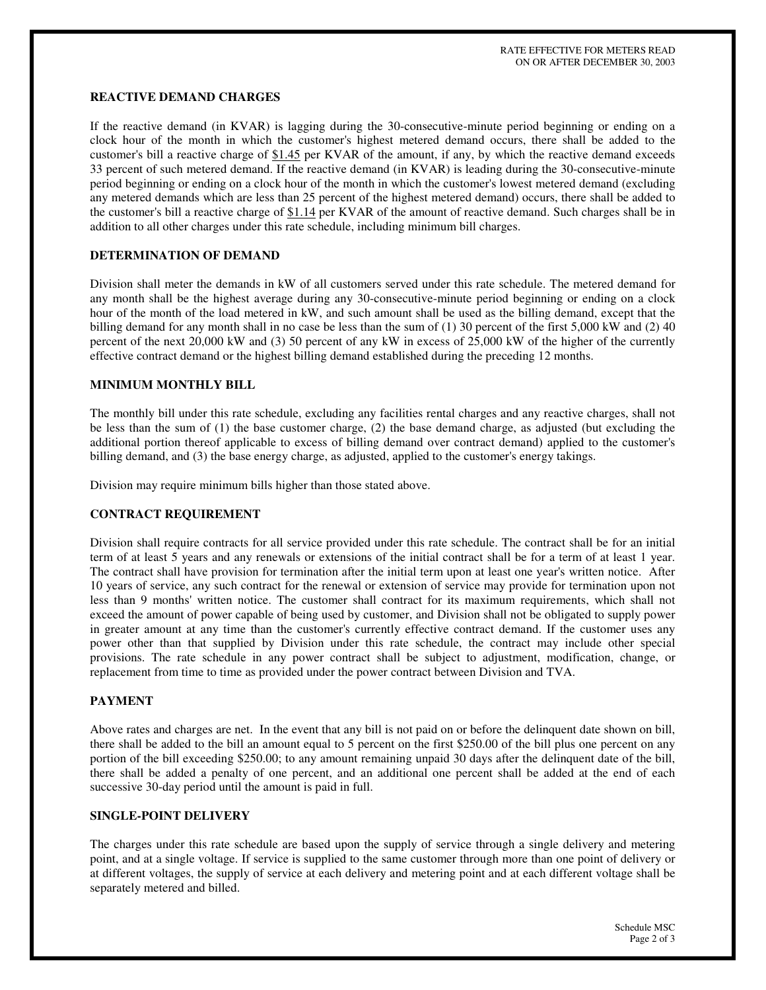# **REACTIVE DEMAND CHARGES**

If the reactive demand (in KVAR) is lagging during the 30-consecutive-minute period beginning or ending on a clock hour of the month in which the customer's highest metered demand occurs, there shall be added to the customer's bill a reactive charge of \$1.45 per KVAR of the amount, if any, by which the reactive demand exceeds 33 percent of such metered demand. If the reactive demand (in KVAR) is leading during the 30-consecutive-minute period beginning or ending on a clock hour of the month in which the customer's lowest metered demand (excluding any metered demands which are less than 25 percent of the highest metered demand) occurs, there shall be added to the customer's bill a reactive charge of  $$1.14$  per KVAR of the amount of reactive demand. Such charges shall be in addition to all other charges under this rate schedule, including minimum bill charges.

#### **DETERMINATION OF DEMAND**

Division shall meter the demands in kW of all customers served under this rate schedule. The metered demand for any month shall be the highest average during any 30-consecutive-minute period beginning or ending on a clock hour of the month of the load metered in kW, and such amount shall be used as the billing demand, except that the billing demand for any month shall in no case be less than the sum of (1) 30 percent of the first 5,000 kW and (2) 40 percent of the next 20,000 kW and (3) 50 percent of any kW in excess of 25,000 kW of the higher of the currently effective contract demand or the highest billing demand established during the preceding 12 months.

# **MINIMUM MONTHLY BILL**

The monthly bill under this rate schedule, excluding any facilities rental charges and any reactive charges, shall not be less than the sum of (1) the base customer charge, (2) the base demand charge, as adjusted (but excluding the additional portion thereof applicable to excess of billing demand over contract demand) applied to the customer's billing demand, and (3) the base energy charge, as adjusted, applied to the customer's energy takings.

Division may require minimum bills higher than those stated above.

#### **CONTRACT REQUIREMENT**

Division shall require contracts for all service provided under this rate schedule. The contract shall be for an initial term of at least 5 years and any renewals or extensions of the initial contract shall be for a term of at least 1 year. The contract shall have provision for termination after the initial term upon at least one year's written notice. After 10 years of service, any such contract for the renewal or extension of service may provide for termination upon not less than 9 months' written notice. The customer shall contract for its maximum requirements, which shall not exceed the amount of power capable of being used by customer, and Division shall not be obligated to supply power in greater amount at any time than the customer's currently effective contract demand. If the customer uses any power other than that supplied by Division under this rate schedule, the contract may include other special provisions. The rate schedule in any power contract shall be subject to adjustment, modification, change, or replacement from time to time as provided under the power contract between Division and TVA.

### **PAYMENT**

Above rates and charges are net. In the event that any bill is not paid on or before the delinquent date shown on bill, there shall be added to the bill an amount equal to 5 percent on the first \$250.00 of the bill plus one percent on any portion of the bill exceeding \$250.00; to any amount remaining unpaid 30 days after the delinquent date of the bill, there shall be added a penalty of one percent, and an additional one percent shall be added at the end of each successive 30-day period until the amount is paid in full.

#### **SINGLE-POINT DELIVERY**

The charges under this rate schedule are based upon the supply of service through a single delivery and metering point, and at a single voltage. If service is supplied to the same customer through more than one point of delivery or at different voltages, the supply of service at each delivery and metering point and at each different voltage shall be separately metered and billed.